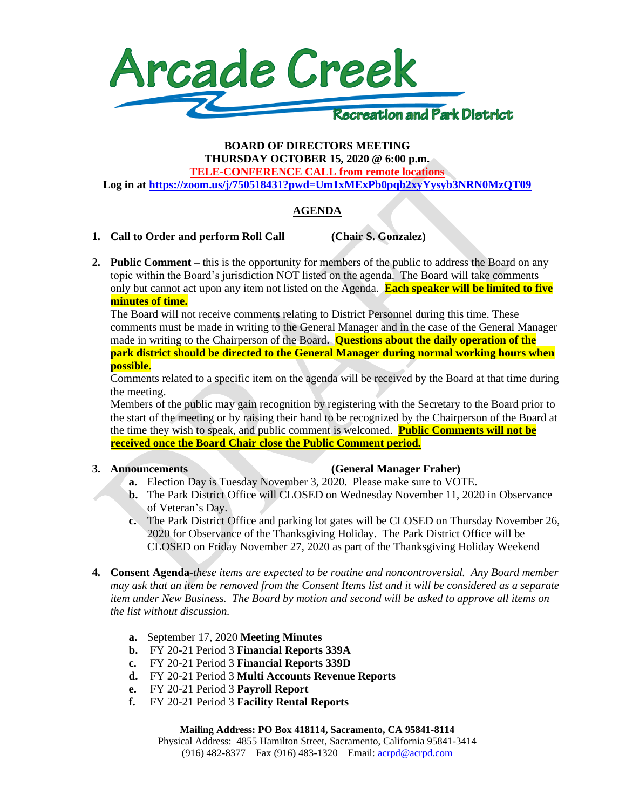

### **BOARD OF DIRECTORS MEETING THURSDAY OCTOBER 15, 2020 @ 6:00 p.m.**

**TELE-CONFERENCE CALL from remote locations**

**Log in at<https://zoom.us/j/750518431?pwd=Um1xMExPb0pqb2xyYysyb3NRN0MzQT09>**

# **AGENDA**

# **1. Call to Order and perform Roll Call (Chair S. Gonzalez)**

**2. Public Comment –** this is the opportunity for members of the public to address the Board on any topic within the Board's jurisdiction NOT listed on the agenda. The Board will take comments only but cannot act upon any item not listed on the Agenda. **Each speaker will be limited to five minutes of time.**

The Board will not receive comments relating to District Personnel during this time. These comments must be made in writing to the General Manager and in the case of the General Manager made in writing to the Chairperson of the Board. **Questions about the daily operation of the park district should be directed to the General Manager during normal working hours when possible.**

Comments related to a specific item on the agenda will be received by the Board at that time during the meeting.

Members of the public may gain recognition by registering with the Secretary to the Board prior to the start of the meeting or by raising their hand to be recognized by the Chairperson of the Board at the time they wish to speak, and public comment is welcomed. **Public Comments will not be received once the Board Chair close the Public Comment period.**

# **3. Announcements (General Manager Fraher)**

- **a.** Election Day is Tuesday November 3, 2020. Please make sure to VOTE.
- **b.** The Park District Office will CLOSED on Wednesday November 11, 2020 in Observance of Veteran's Day.
- **c.** The Park District Office and parking lot gates will be CLOSED on Thursday November 26, 2020 for Observance of the Thanksgiving Holiday. The Park District Office will be CLOSED on Friday November 27, 2020 as part of the Thanksgiving Holiday Weekend
- **4. Consent Agenda**-*these items are expected to be routine and noncontroversial. Any Board member may ask that an item be removed from the Consent Items list and it will be considered as a separate item under New Business. The Board by motion and second will be asked to approve all items on the list without discussion.*
	- **a.** September 17, 2020 **Meeting Minutes**
	- **b.** FY 20-21 Period 3 **Financial Reports 339A**
	- **c.** FY 20-21 Period 3 **Financial Reports 339D**
	- **d.** FY 20-21 Period 3 **Multi Accounts Revenue Reports**
	- **e.** FY 20-21 Period 3 **Payroll Report**
	- **f.** FY 20-21 Period 3 **Facility Rental Reports**

#### **Mailing Address: PO Box 418114, Sacramento, CA 95841-8114**

Physical Address: 4855 Hamilton Street, Sacramento, California 95841-3414 (916) 482-8377 Fax (916) 483-1320 Email[: acrpd@acrpd.com](mailto:acrpd@acrpd.com)